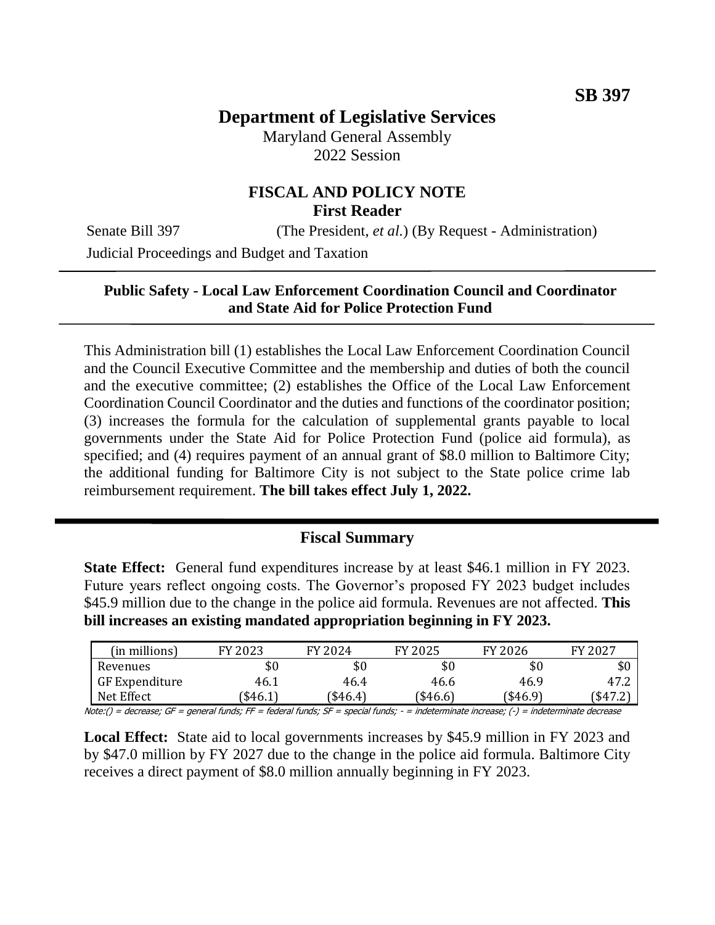# **Department of Legislative Services**

Maryland General Assembly 2022 Session

## **FISCAL AND POLICY NOTE First Reader**

Senate Bill 397 (The President, *et al.*) (By Request - Administration)

Judicial Proceedings and Budget and Taxation

## **Public Safety - Local Law Enforcement Coordination Council and Coordinator and State Aid for Police Protection Fund**

This Administration bill (1) establishes the Local Law Enforcement Coordination Council and the Council Executive Committee and the membership and duties of both the council and the executive committee; (2) establishes the Office of the Local Law Enforcement Coordination Council Coordinator and the duties and functions of the coordinator position; (3) increases the formula for the calculation of supplemental grants payable to local governments under the State Aid for Police Protection Fund (police aid formula), as specified; and (4) requires payment of an annual grant of \$8.0 million to Baltimore City; the additional funding for Baltimore City is not subject to the State police crime lab reimbursement requirement. **The bill takes effect July 1, 2022.**

## **Fiscal Summary**

**State Effect:** General fund expenditures increase by at least \$46.1 million in FY 2023. Future years reflect ongoing costs. The Governor's proposed FY 2023 budget includes \$45.9 million due to the change in the police aid formula. Revenues are not affected. **This bill increases an existing mandated appropriation beginning in FY 2023.**

| (in millions)                                                                                                                            | FY 2023 | FY 2024  | FY 2025 | FY 2026  | FY 2027  |  |  |
|------------------------------------------------------------------------------------------------------------------------------------------|---------|----------|---------|----------|----------|--|--|
| Revenues                                                                                                                                 | \$0     | \$0      | \$0     | \$0      | \$0      |  |  |
| GF Expenditure                                                                                                                           | 46.1    | 46.4     | 46.6    | 46.9     | 47.2     |  |  |
| Net Effect                                                                                                                               | \$46.1] | (\$46.4) | \$46.6) | (\$46.9) | (\$47.2) |  |  |
| Note:() = decrease; GF = general funds; FF = federal funds; SF = special funds; - = indeterminate increase; (-) = indeterminate decrease |         |          |         |          |          |  |  |

**Local Effect:** State aid to local governments increases by \$45.9 million in FY 2023 and by \$47.0 million by FY 2027 due to the change in the police aid formula. Baltimore City receives a direct payment of \$8.0 million annually beginning in FY 2023.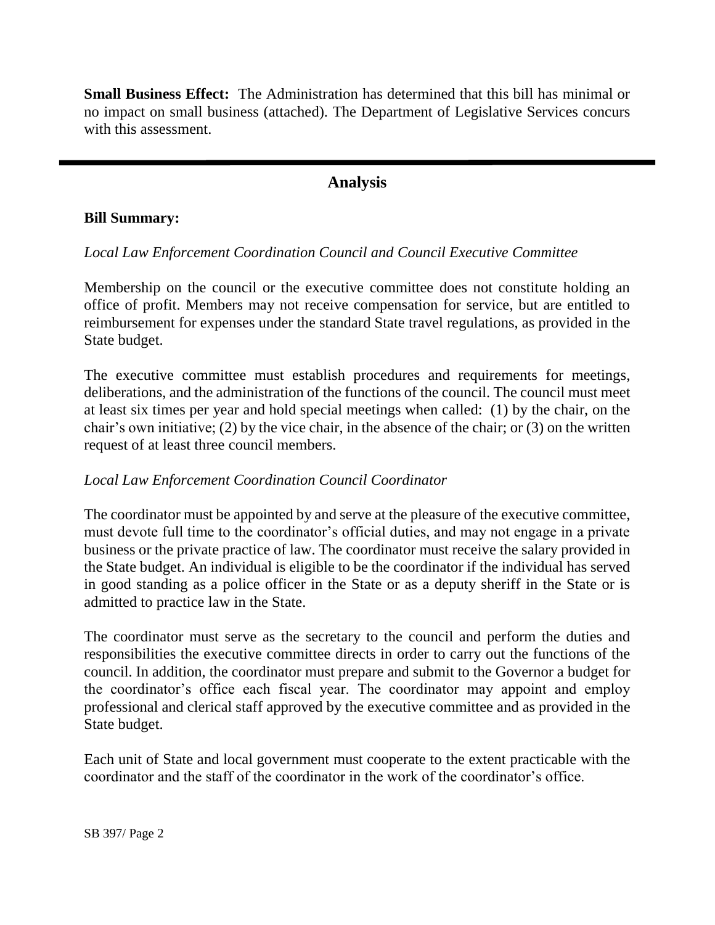**Small Business Effect:** The Administration has determined that this bill has minimal or no impact on small business (attached). The Department of Legislative Services concurs with this assessment.

# **Analysis**

#### **Bill Summary:**

#### *Local Law Enforcement Coordination Council and Council Executive Committee*

Membership on the council or the executive committee does not constitute holding an office of profit. Members may not receive compensation for service, but are entitled to reimbursement for expenses under the standard State travel regulations, as provided in the State budget.

The executive committee must establish procedures and requirements for meetings, deliberations, and the administration of the functions of the council. The council must meet at least six times per year and hold special meetings when called: (1) by the chair, on the chair's own initiative; (2) by the vice chair, in the absence of the chair; or (3) on the written request of at least three council members.

## *Local Law Enforcement Coordination Council Coordinator*

The coordinator must be appointed by and serve at the pleasure of the executive committee, must devote full time to the coordinator's official duties, and may not engage in a private business or the private practice of law. The coordinator must receive the salary provided in the State budget. An individual is eligible to be the coordinator if the individual has served in good standing as a police officer in the State or as a deputy sheriff in the State or is admitted to practice law in the State.

The coordinator must serve as the secretary to the council and perform the duties and responsibilities the executive committee directs in order to carry out the functions of the council. In addition, the coordinator must prepare and submit to the Governor a budget for the coordinator's office each fiscal year. The coordinator may appoint and employ professional and clerical staff approved by the executive committee and as provided in the State budget.

Each unit of State and local government must cooperate to the extent practicable with the coordinator and the staff of the coordinator in the work of the coordinator's office.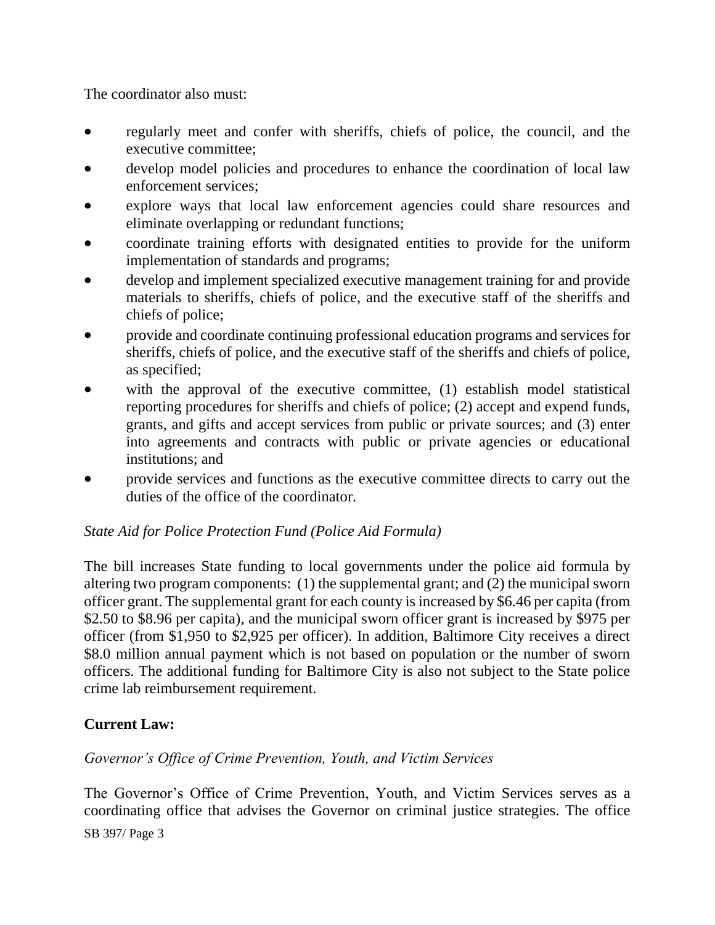The coordinator also must:

- regularly meet and confer with sheriffs, chiefs of police, the council, and the executive committee;
- develop model policies and procedures to enhance the coordination of local law enforcement services;
- explore ways that local law enforcement agencies could share resources and eliminate overlapping or redundant functions;
- coordinate training efforts with designated entities to provide for the uniform implementation of standards and programs;
- develop and implement specialized executive management training for and provide materials to sheriffs, chiefs of police, and the executive staff of the sheriffs and chiefs of police;
- provide and coordinate continuing professional education programs and services for sheriffs, chiefs of police, and the executive staff of the sheriffs and chiefs of police, as specified;
- with the approval of the executive committee, (1) establish model statistical reporting procedures for sheriffs and chiefs of police; (2) accept and expend funds, grants, and gifts and accept services from public or private sources; and (3) enter into agreements and contracts with public or private agencies or educational institutions; and
- provide services and functions as the executive committee directs to carry out the duties of the office of the coordinator.

## *State Aid for Police Protection Fund (Police Aid Formula)*

The bill increases State funding to local governments under the police aid formula by altering two program components: (1) the supplemental grant; and (2) the municipal sworn officer grant. The supplemental grant for each county is increased by \$6.46 per capita (from \$2.50 to \$8.96 per capita), and the municipal sworn officer grant is increased by \$975 per officer (from \$1,950 to \$2,925 per officer). In addition, Baltimore City receives a direct \$8.0 million annual payment which is not based on population or the number of sworn officers. The additional funding for Baltimore City is also not subject to the State police crime lab reimbursement requirement.

## **Current Law:**

## *Governor's Office of Crime Prevention, Youth, and Victim Services*

The Governor's Office of Crime Prevention, Youth, and Victim Services serves as a coordinating office that advises the Governor on criminal justice strategies. The office

SB 397/ Page 3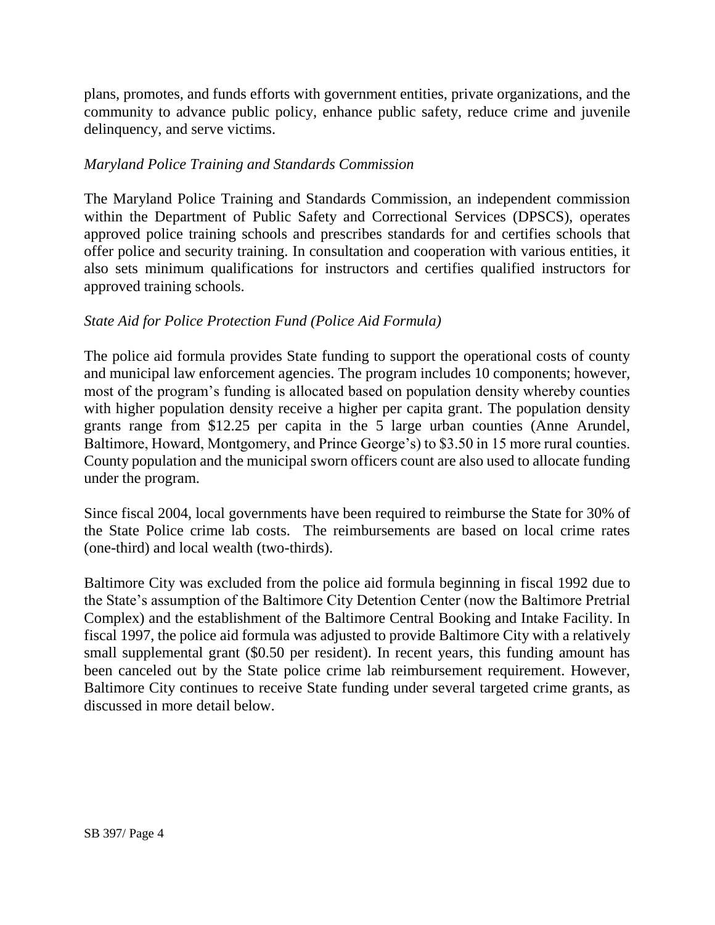plans, promotes, and funds efforts with government entities, private organizations, and the community to advance public policy, enhance public safety, reduce crime and juvenile delinquency, and serve victims.

#### *Maryland Police Training and Standards Commission*

The Maryland Police Training and Standards Commission, an independent commission within the Department of Public Safety and Correctional Services (DPSCS), operates approved police training schools and prescribes standards for and certifies schools that offer police and security training. In consultation and cooperation with various entities, it also sets minimum qualifications for instructors and certifies qualified instructors for approved training schools.

## *State Aid for Police Protection Fund (Police Aid Formula)*

The police aid formula provides State funding to support the operational costs of county and municipal law enforcement agencies. The program includes 10 components; however, most of the program's funding is allocated based on population density whereby counties with higher population density receive a higher per capita grant. The population density grants range from \$12.25 per capita in the 5 large urban counties (Anne Arundel, Baltimore, Howard, Montgomery, and Prince George's) to \$3.50 in 15 more rural counties. County population and the municipal sworn officers count are also used to allocate funding under the program.

Since fiscal 2004, local governments have been required to reimburse the State for 30% of the State Police crime lab costs. The reimbursements are based on local crime rates (one-third) and local wealth (two-thirds).

Baltimore City was excluded from the police aid formula beginning in fiscal 1992 due to the State's assumption of the Baltimore City Detention Center (now the Baltimore Pretrial Complex) and the establishment of the Baltimore Central Booking and Intake Facility. In fiscal 1997, the police aid formula was adjusted to provide Baltimore City with a relatively small supplemental grant (\$0.50 per resident). In recent years, this funding amount has been canceled out by the State police crime lab reimbursement requirement. However, Baltimore City continues to receive State funding under several targeted crime grants, as discussed in more detail below.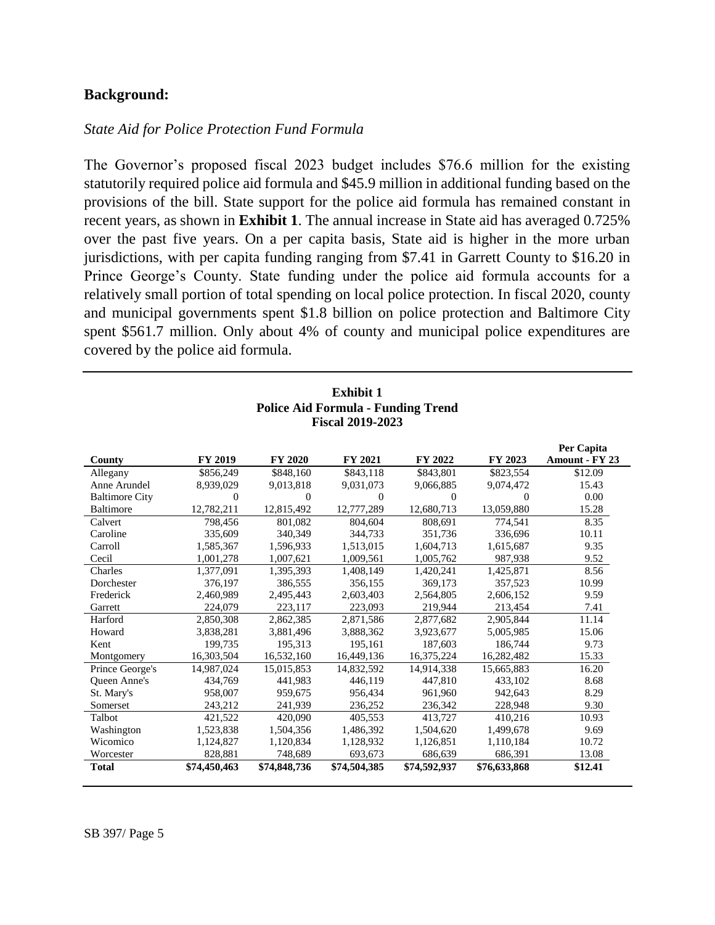#### **Background:**

#### *State Aid for Police Protection Fund Formula*

The Governor's proposed fiscal 2023 budget includes \$76.6 million for the existing statutorily required police aid formula and \$45.9 million in additional funding based on the provisions of the bill. State support for the police aid formula has remained constant in recent years, as shown in **Exhibit 1**. The annual increase in State aid has averaged 0.725% over the past five years. On a per capita basis, State aid is higher in the more urban jurisdictions, with per capita funding ranging from \$7.41 in Garrett County to \$16.20 in Prince George's County. State funding under the police aid formula accounts for a relatively small portion of total spending on local police protection. In fiscal 2020, county and municipal governments spent \$1.8 billion on police protection and Baltimore City spent \$561.7 million. Only about 4% of county and municipal police expenditures are covered by the police aid formula.

**Exhibit 1**

| EXMIDIU 1                                 |              |                |                |              |              |                |  |  |  |
|-------------------------------------------|--------------|----------------|----------------|--------------|--------------|----------------|--|--|--|
| <b>Police Aid Formula - Funding Trend</b> |              |                |                |              |              |                |  |  |  |
| <b>Fiscal 2019-2023</b>                   |              |                |                |              |              |                |  |  |  |
| Per Capita                                |              |                |                |              |              |                |  |  |  |
| County                                    | FY 2019      | <b>FY 2020</b> | FY 2021        | FY 2022      | FY 2023      | Amount - FY 23 |  |  |  |
| Allegany                                  | \$856,249    | \$848,160      | \$843,118      | \$843,801    | \$823,554    | \$12.09        |  |  |  |
| Anne Arundel                              | 8,939,029    | 9,013,818      | 9,031,073      | 9,066,885    | 9,074,472    | 15.43          |  |  |  |
| <b>Baltimore City</b>                     | $\Omega$     | $\Omega$       | $\overline{0}$ | $\theta$     | 0            | 0.00           |  |  |  |
| Baltimore                                 | 12,782,211   | 12,815,492     | 12,777,289     | 12,680,713   | 13,059,880   | 15.28          |  |  |  |
| Calvert                                   | 798,456      | 801.082        | 804.604        | 808.691      | 774,541      | 8.35           |  |  |  |
| Caroline                                  | 335,609      | 340,349        | 344,733        | 351,736      | 336,696      | 10.11          |  |  |  |
| Carroll                                   | 1,585,367    | 1,596,933      | 1,513,015      | 1,604,713    | 1,615,687    | 9.35           |  |  |  |
| Cecil                                     | 1,001,278    | 1,007,621      | 1,009,561      | 1,005,762    | 987,938      | 9.52           |  |  |  |
| Charles                                   | 1,377,091    | 1,395,393      | 1,408,149      | 1,420,241    | 1,425,871    | 8.56           |  |  |  |
| Dorchester                                | 376,197      | 386,555        | 356,155        | 369,173      | 357,523      | 10.99          |  |  |  |
| Frederick                                 | 2,460,989    | 2,495,443      | 2,603,403      | 2,564,805    | 2,606,152    | 9.59           |  |  |  |
| Garrett                                   | 224,079      | 223,117        | 223,093        | 219,944      | 213,454      | 7.41           |  |  |  |
| Harford                                   | 2,850,308    | 2,862,385      | 2,871,586      | 2,877,682    | 2,905,844    | 11.14          |  |  |  |
| Howard                                    | 3,838,281    | 3,881,496      | 3,888,362      | 3,923,677    | 5,005,985    | 15.06          |  |  |  |
| Kent                                      | 199,735      | 195,313        | 195,161        | 187,603      | 186,744      | 9.73           |  |  |  |
| Montgomery                                | 16,303,504   | 16,532,160     | 16,449,136     | 16,375,224   | 16,282,482   | 15.33          |  |  |  |
| Prince George's                           | 14,987,024   | 15,015,853     | 14,832,592     | 14,914,338   | 15,665,883   | 16.20          |  |  |  |
| <b>Oueen Anne's</b>                       | 434,769      | 441,983        | 446,119        | 447,810      | 433,102      | 8.68           |  |  |  |
| St. Mary's                                | 958,007      | 959,675        | 956,434        | 961,960      | 942,643      | 8.29           |  |  |  |
| Somerset                                  | 243,212      | 241,939        | 236,252        | 236,342      | 228,948      | 9.30           |  |  |  |
| Talbot                                    | 421,522      | 420,090        | 405,553        | 413,727      | 410,216      | 10.93          |  |  |  |
| Washington                                | 1,523,838    | 1,504,356      | 1,486,392      | 1,504,620    | 1,499,678    | 9.69           |  |  |  |
| Wicomico                                  | 1,124,827    | 1,120,834      | 1,128,932      | 1,126,851    | 1,110,184    | 10.72          |  |  |  |
| Worcester                                 | 828,881      | 748,689        | 693,673        | 686,639      | 686,391      | 13.08          |  |  |  |
| <b>Total</b>                              | \$74,450,463 | \$74,848,736   | \$74,504,385   | \$74,592,937 | \$76,633,868 | \$12.41        |  |  |  |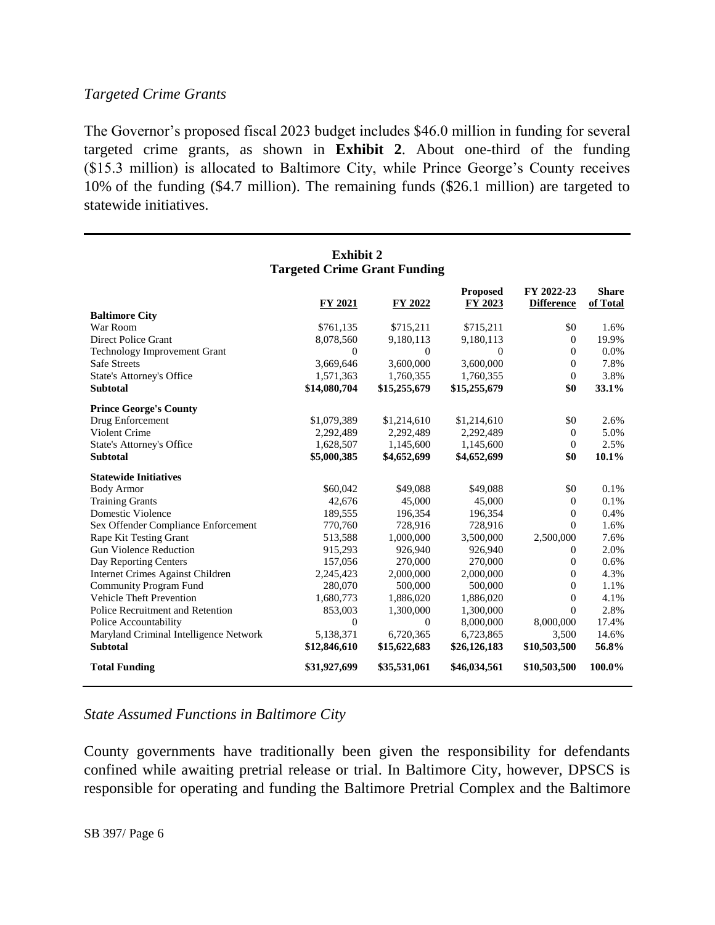#### *Targeted Crime Grants*

The Governor's proposed fiscal 2023 budget includes \$46.0 million in funding for several targeted crime grants, as shown in **Exhibit 2**. About one-third of the funding (\$15.3 million) is allocated to Baltimore City, while Prince George's County receives 10% of the funding (\$4.7 million). The remaining funds (\$26.1 million) are targeted to statewide initiatives.

| <b>Exhibit 2</b>                                           |                       |                             |                            |                                 |                          |  |  |  |
|------------------------------------------------------------|-----------------------|-----------------------------|----------------------------|---------------------------------|--------------------------|--|--|--|
| <b>Targeted Crime Grant Funding</b>                        |                       |                             |                            |                                 |                          |  |  |  |
|                                                            | FY 2021               | FY 2022                     | <b>Proposed</b><br>FY 2023 | FY 2022-23<br><b>Difference</b> | <b>Share</b><br>of Total |  |  |  |
| <b>Baltimore City</b>                                      |                       |                             |                            |                                 |                          |  |  |  |
| War Room<br>Direct Police Grant                            | \$761,135             | \$715,211                   | \$715,211                  | \$0                             | 1.6%<br>19.9%            |  |  |  |
|                                                            | 8,078,560<br>$\theta$ | 9,180,113<br>$\overline{0}$ | 9,180,113                  | $\overline{0}$<br>$\mathbf{0}$  |                          |  |  |  |
| <b>Technology Improvement Grant</b><br><b>Safe Streets</b> |                       | 3,600,000                   | $\mathbf{0}$<br>3,600,000  | $\mathbf{0}$                    | 0.0%<br>7.8%             |  |  |  |
|                                                            | 3,669,646             |                             |                            | $\theta$                        | 3.8%                     |  |  |  |
| <b>State's Attorney's Office</b><br><b>Subtotal</b>        | 1,571,363             | 1,760,355                   | 1,760,355                  |                                 | 33.1%                    |  |  |  |
|                                                            | \$14,080,704          | \$15,255,679                | \$15,255,679               | \$0                             |                          |  |  |  |
| <b>Prince George's County</b>                              |                       |                             |                            |                                 |                          |  |  |  |
| Drug Enforcement                                           | \$1,079,389           | \$1,214,610                 | \$1,214,610                | \$0                             | 2.6%                     |  |  |  |
| Violent Crime                                              | 2,292,489             | 2,292,489                   | 2,292,489                  | $\theta$                        | 5.0%                     |  |  |  |
| State's Attorney's Office                                  | 1,628,507             | 1,145,600                   | 1,145,600                  | $\mathbf{0}$                    | 2.5%                     |  |  |  |
| <b>Subtotal</b>                                            | \$5,000,385           | \$4,652,699                 | \$4,652,699                | \$0                             | 10.1%                    |  |  |  |
| <b>Statewide Initiatives</b>                               |                       |                             |                            |                                 |                          |  |  |  |
| <b>Body Armor</b>                                          | \$60,042              | \$49,088                    | \$49,088                   | \$0                             | 0.1%                     |  |  |  |
| <b>Training Grants</b>                                     | 42.676                | 45,000                      | 45,000                     | $\theta$                        | 0.1%                     |  |  |  |
| Domestic Violence                                          | 189,555               | 196,354                     | 196,354                    | $\theta$                        | 0.4%                     |  |  |  |
| Sex Offender Compliance Enforcement                        | 770,760               | 728,916                     | 728,916                    | $\Omega$                        | 1.6%                     |  |  |  |
| Rape Kit Testing Grant                                     | 513,588               | 1,000,000                   | 3,500,000                  | 2,500,000                       | 7.6%                     |  |  |  |
| <b>Gun Violence Reduction</b>                              | 915,293               | 926,940                     | 926,940                    | $\mathbf{0}$                    | 2.0%                     |  |  |  |
| Day Reporting Centers                                      | 157,056               | 270,000                     | 270,000                    | $\overline{0}$                  | 0.6%                     |  |  |  |
| Internet Crimes Against Children                           | 2,245,423             | 2,000,000                   | 2,000,000                  | $\overline{0}$                  | 4.3%                     |  |  |  |
| <b>Community Program Fund</b>                              | 280,070               | 500,000                     | 500,000                    | $\mathbf{0}$                    | 1.1%                     |  |  |  |
| <b>Vehicle Theft Prevention</b>                            | 1,680,773             | 1,886,020                   | 1,886,020                  | $\mathbf{0}$                    | 4.1%                     |  |  |  |
| Police Recruitment and Retention                           | 853,003               | 1,300,000                   | 1,300,000                  | $\Omega$                        | 2.8%                     |  |  |  |
| Police Accountability                                      | $\overline{0}$        | $\theta$                    | 8,000,000                  | 8,000,000                       | 17.4%                    |  |  |  |
| Maryland Criminal Intelligence Network                     | 5,138,371             | 6,720,365                   | 6,723,865                  | 3,500                           | 14.6%                    |  |  |  |
| <b>Subtotal</b>                                            | \$12,846,610          | \$15,622,683                | \$26,126,183               | \$10,503,500                    | 56.8%                    |  |  |  |
| <b>Total Funding</b>                                       | \$31,927,699          | \$35,531,061                | \$46,034,561               | \$10,503,500                    | 100.0%                   |  |  |  |

## *State Assumed Functions in Baltimore City*

County governments have traditionally been given the responsibility for defendants confined while awaiting pretrial release or trial. In Baltimore City, however, DPSCS is responsible for operating and funding the Baltimore Pretrial Complex and the Baltimore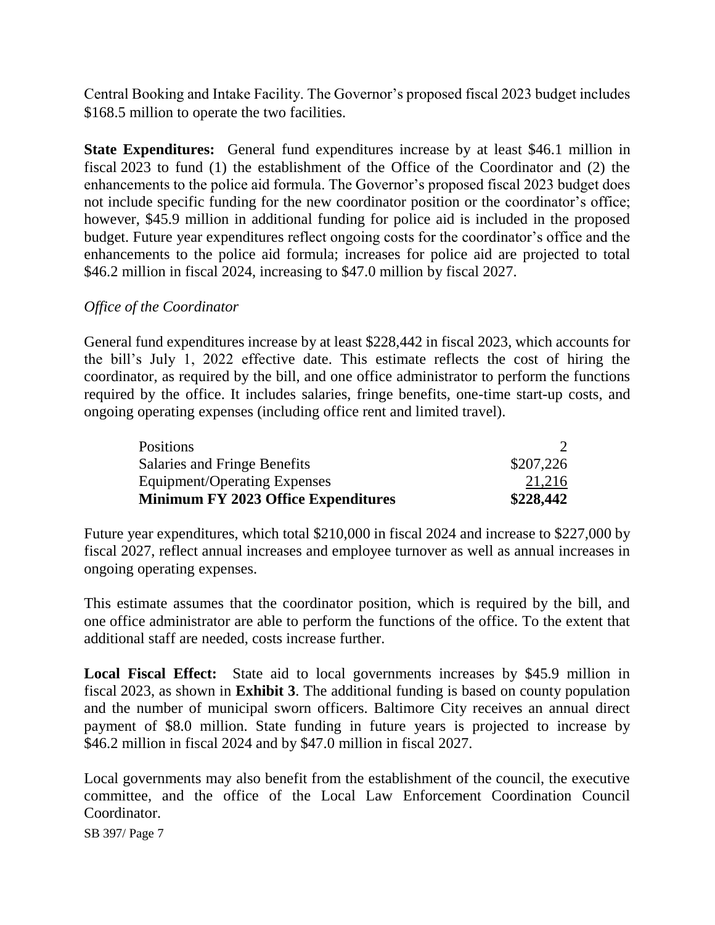Central Booking and Intake Facility. The Governor's proposed fiscal 2023 budget includes \$168.5 million to operate the two facilities.

**State Expenditures:** General fund expenditures increase by at least \$46.1 million in fiscal 2023 to fund (1) the establishment of the Office of the Coordinator and (2) the enhancements to the police aid formula. The Governor's proposed fiscal 2023 budget does not include specific funding for the new coordinator position or the coordinator's office; however, \$45.9 million in additional funding for police aid is included in the proposed budget. Future year expenditures reflect ongoing costs for the coordinator's office and the enhancements to the police aid formula; increases for police aid are projected to total \$46.2 million in fiscal 2024, increasing to \$47.0 million by fiscal 2027.

#### *Office of the Coordinator*

General fund expenditures increase by at least \$228,442 in fiscal 2023, which accounts for the bill's July 1, 2022 effective date. This estimate reflects the cost of hiring the coordinator, as required by the bill, and one office administrator to perform the functions required by the office. It includes salaries, fringe benefits, one-time start-up costs, and ongoing operating expenses (including office rent and limited travel).

| <b>Positions</b>                    |           |
|-------------------------------------|-----------|
| Salaries and Fringe Benefits        | \$207,226 |
| Equipment/Operating Expenses        | 21,216    |
| Minimum FY 2023 Office Expenditures | \$228,442 |

Future year expenditures, which total \$210,000 in fiscal 2024 and increase to \$227,000 by fiscal 2027, reflect annual increases and employee turnover as well as annual increases in ongoing operating expenses.

This estimate assumes that the coordinator position, which is required by the bill, and one office administrator are able to perform the functions of the office. To the extent that additional staff are needed, costs increase further.

**Local Fiscal Effect:** State aid to local governments increases by \$45.9 million in fiscal 2023, as shown in **Exhibit 3**. The additional funding is based on county population and the number of municipal sworn officers. Baltimore City receives an annual direct payment of \$8.0 million. State funding in future years is projected to increase by \$46.2 million in fiscal 2024 and by \$47.0 million in fiscal 2027.

Local governments may also benefit from the establishment of the council, the executive committee, and the office of the Local Law Enforcement Coordination Council Coordinator.

SB 397/ Page 7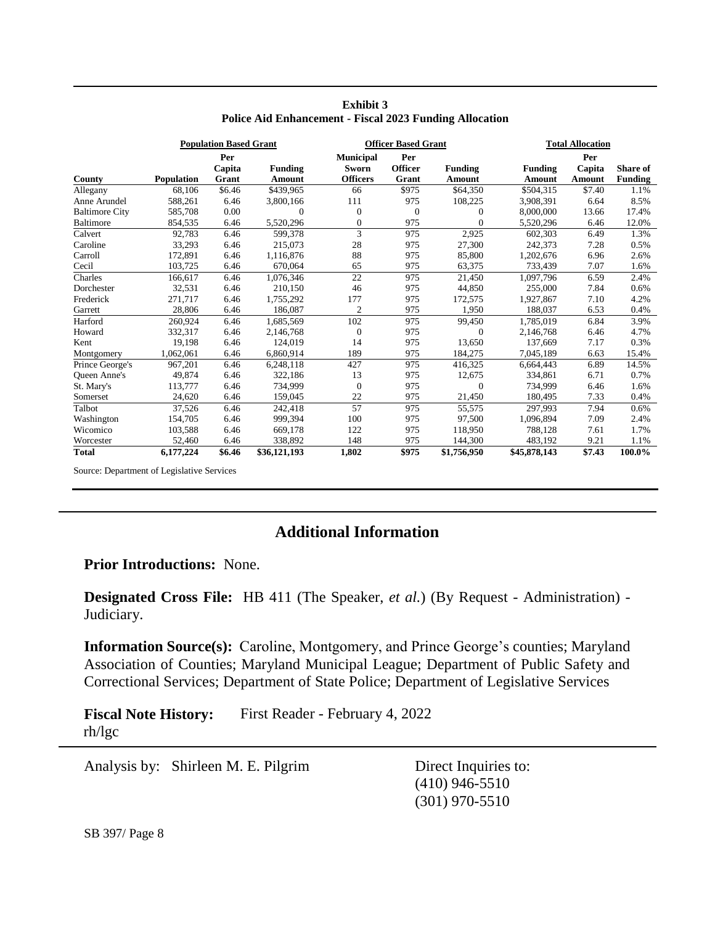|                       | <b>Population Based Grant</b> |               |                | <b>Officer Based Grant</b> |                       |                | <b>Total Allocation</b> |               |                 |
|-----------------------|-------------------------------|---------------|----------------|----------------------------|-----------------------|----------------|-------------------------|---------------|-----------------|
|                       |                               | Per<br>Capita | <b>Funding</b> | <b>Municipal</b><br>Sworn  | Per<br><b>Officer</b> | <b>Funding</b> | <b>Funding</b>          | Per<br>Capita | <b>Share of</b> |
| County                | <b>Population</b>             | Grant         | Amount         | <b>Officers</b>            | Grant                 | <b>Amount</b>  | Amount                  | Amount        | <b>Funding</b>  |
| Allegany              | 68,106                        | \$6.46        | \$439,965      | 66                         | \$975                 | \$64,350       | \$504,315               | \$7.40        | 1.1%            |
| Anne Arundel          | 588,261                       | 6.46          | 3,800,166      | 111                        | 975                   | 108,225        | 3,908,391               | 6.64          | 8.5%            |
| <b>Baltimore City</b> | 585,708                       | 0.00          | $\Omega$       | $\Omega$                   | $\Omega$              | $\Omega$       | 8,000,000               | 13.66         | 17.4%           |
| <b>Baltimore</b>      | 854,535                       | 6.46          | 5,520,296      | $\boldsymbol{0}$           | 975                   | $\theta$       | 5,520,296               | 6.46          | 12.0%           |
| Calvert               | 92.783                        | 6.46          | 599.378        | 3                          | 975                   | 2,925          | 602.303                 | 6.49          | 1.3%            |
| Caroline              | 33,293                        | 6.46          | 215,073        | 28                         | 975                   | 27,300         | 242,373                 | 7.28          | 0.5%            |
| Carroll               | 172,891                       | 6.46          | 1,116,876      | 88                         | 975                   | 85,800         | 1,202,676               | 6.96          | 2.6%            |
| Cecil                 | 103,725                       | 6.46          | 670,064        | 65                         | 975                   | 63,375         | 733,439                 | 7.07          | 1.6%            |
| Charles               | 166,617                       | 6.46          | 1.076.346      | 22                         | 975                   | 21.450         | 1.097.796               | 6.59          | 2.4%            |
| Dorchester            | 32,531                        | 6.46          | 210,150        | 46                         | 975                   | 44,850         | 255,000                 | 7.84          | 0.6%            |
| Frederick             | 271,717                       | 6.46          | 1,755,292      | 177                        | 975                   | 172,575        | 1,927,867               | 7.10          | 4.2%            |
| Garrett               | 28,806                        | 6.46          | 186,087        | 2                          | 975                   | 1.950          | 188,037                 | 6.53          | 0.4%            |
| Harford               | 260,924                       | 6.46          | 1,685,569      | 102                        | 975                   | 99,450         | 1,785,019               | 6.84          | 3.9%            |
| Howard                | 332,317                       | 6.46          | 2,146,768      | $\theta$                   | 975                   | $\Omega$       | 2,146,768               | 6.46          | 4.7%            |
| Kent                  | 19,198                        | 6.46          | 124,019        | 14                         | 975                   | 13,650         | 137,669                 | 7.17          | 0.3%            |
| Montgomery            | 1,062,061                     | 6.46          | 6,860,914      | 189                        | 975                   | 184,275        | 7,045,189               | 6.63          | 15.4%           |
| Prince George's       | 967,201                       | 6.46          | 6,248,118      | 427                        | 975                   | 416,325        | 6,664,443               | 6.89          | 14.5%           |
| <b>Oueen Anne's</b>   | 49,874                        | 6.46          | 322,186        | 13                         | 975                   | 12,675         | 334,861                 | 6.71          | 0.7%            |
| St. Mary's            | 113,777                       | 6.46          | 734.999        | $\theta$                   | 975                   | $\theta$       | 734.999                 | 6.46          | 1.6%            |
| Somerset              | 24,620                        | 6.46          | 159,045        | 22                         | 975                   | 21,450         | 180,495                 | 7.33          | 0.4%            |
| Talbot                | 37,526                        | 6.46          | 242,418        | 57                         | 975                   | 55,575         | 297.993                 | 7.94          | 0.6%            |
| Washington            | 154,705                       | 6.46          | 999,394        | 100                        | 975                   | 97,500         | 1,096,894               | 7.09          | 2.4%            |
| Wicomico              | 103,588                       | 6.46          | 669,178        | 122                        | 975                   | 118,950        | 788,128                 | 7.61          | 1.7%            |
| Worcester             | 52,460                        | 6.46          | 338,892        | 148                        | 975                   | 144,300        | 483,192                 | 9.21          | 1.1%            |
| <b>Total</b>          | 6,177,224                     | \$6.46        | \$36,121,193   | 1,802                      | \$975                 | \$1,756,950    | \$45,878,143            | \$7.43        | 100.0%          |

#### **Exhibit 3 Police Aid Enhancement - Fiscal 2023 Funding Allocation**

Source: Department of Legislative Services

## **Additional Information**

#### **Prior Introductions:** None.

**Designated Cross File:** HB 411 (The Speaker, *et al.*) (By Request - Administration) - Judiciary.

**Information Source(s):** Caroline, Montgomery, and Prince George's counties; Maryland Association of Counties; Maryland Municipal League; Department of Public Safety and Correctional Services; Department of State Police; Department of Legislative Services

**Fiscal Note History:** First Reader - February 4, 2022 rh/lgc

Analysis by: Shirleen M. E. Pilgrim Direct Inquiries to:

(410) 946-5510 (301) 970-5510